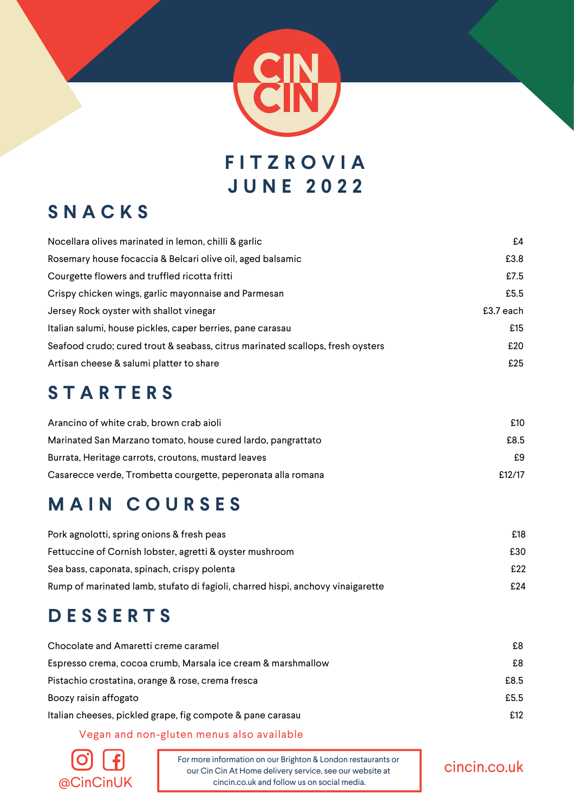

# **F I T Z R O V I A J U N E 2 0 2 2**

## **S N A C K S**

| Nocellara olives marinated in lemon, chilli & garlic                           | £4        |
|--------------------------------------------------------------------------------|-----------|
| Rosemary house focaccia & Belcari olive oil, aged balsamic                     | £3.8      |
| Courgette flowers and truffled ricotta fritti                                  | £7.5      |
| Crispy chicken wings, garlic mayonnaise and Parmesan                           | £5.5      |
| Jersey Rock oyster with shallot vinegar                                        | £3.7 each |
| Italian salumi, house pickles, caper berries, pane carasau                     | £15       |
| Seafood crudo; cured trout & seabass, citrus marinated scallops, fresh oysters | £20       |
| Artisan cheese & salumi platter to share                                       | £25       |

### **S T A R T E R S**

| Arancino of white crab, brown crab aioli                     | £10    |
|--------------------------------------------------------------|--------|
| Marinated San Marzano tomato, house cured lardo, pangrattato | £8.5   |
| Burrata, Heritage carrots, croutons, mustard leaves          | £9     |
| Casarecce verde, Trombetta courgette, peperonata alla romana | £12/17 |

# **M A I N C O U R S E S**

| Pork agnolotti, spring onions & fresh peas                                      | £18 |
|---------------------------------------------------------------------------------|-----|
| Fettuccine of Cornish lobster, agretti & oyster mushroom                        | £30 |
| Sea bass, caponata, spinach, crispy polenta                                     | £22 |
| Rump of marinated lamb, stufato di fagioli, charred hispi, anchovy vinaigarette | £24 |

# **D E S S E R T S**

| Chocolate and Amaretti creme caramel                         | £8   |
|--------------------------------------------------------------|------|
| Espresso crema, cocoa crumb, Marsala ice cream & marshmallow | £8   |
| Pistachio crostatina, orange & rose, crema fresca            | £8.5 |
| Boozy raisin affogato                                        | £5.5 |
| Italian cheeses, pickled grape, fig compote & pane carasau   | £12  |

#### Vegan and non-gluten menus also available



For more information on our Brighton & London restaurants or our Cin Cin At Home delivery service, see our website at  $@CinCinUK$  cincin.co.uk and follow us on social media.

#### cincin.co.uk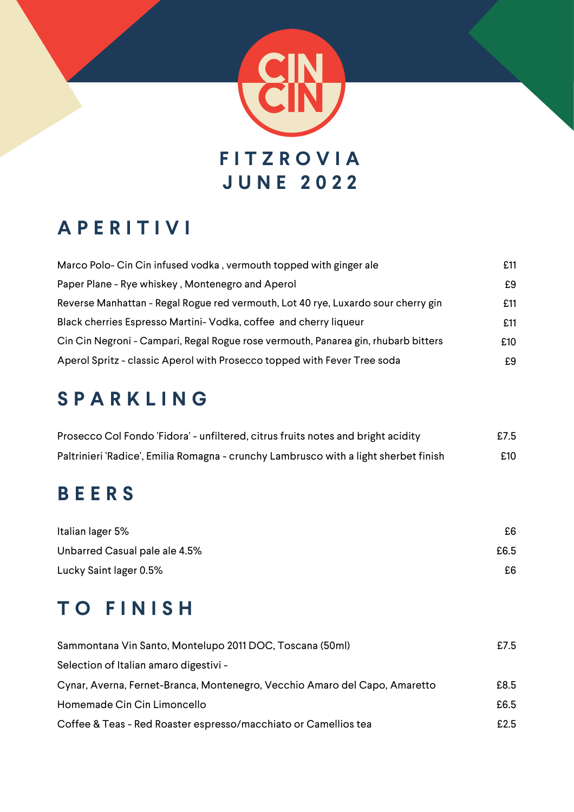

# **A P E R I T I V I**

| Marco Polo- Cin Cin infused vodka, vermouth topped with ginger ale                 | £11 |
|------------------------------------------------------------------------------------|-----|
| Paper Plane - Rye whiskey, Montenegro and Aperol                                   | £9  |
| Reverse Manhattan - Regal Rogue red vermouth, Lot 40 rye, Luxardo sour cherry gin  | £11 |
| Black cherries Espresso Martini- Vodka, coffee and cherry liqueur                  | £11 |
| Cin Cin Negroni - Campari, Regal Rogue rose vermouth, Panarea gin, rhubarb bitters | £10 |
| Aperol Spritz - classic Aperol with Prosecco topped with Fever Tree soda           | £9  |

# **S P A R K L I N G**

| Prosecco Col Fondo 'Fidora' - unfiltered, citrus fruits notes and bright acidity     | £7.5 |
|--------------------------------------------------------------------------------------|------|
| Paltrinieri 'Radice', Emilia Romagna - crunchy Lambrusco with a light sherbet finish | £10  |

# **B E E R S**

| Italian lager 5%              | £6.  |
|-------------------------------|------|
| Unbarred Casual pale ale 4.5% | £6.5 |
| Lucky Saint lager 0.5%        | £6   |

# **T O F I N I S H**

| Sammontana Vin Santo, Montelupo 2011 DOC, Toscana (50ml)                   | £7.5 |
|----------------------------------------------------------------------------|------|
| Selection of Italian amaro digestivi -                                     |      |
| Cynar, Averna, Fernet-Branca, Montenegro, Vecchio Amaro del Capo, Amaretto | £8.5 |
| Homemade Cin Cin Limoncello                                                | £6.5 |
| Coffee & Teas - Red Roaster espresso/macchiato or Camellios tea            | £2.5 |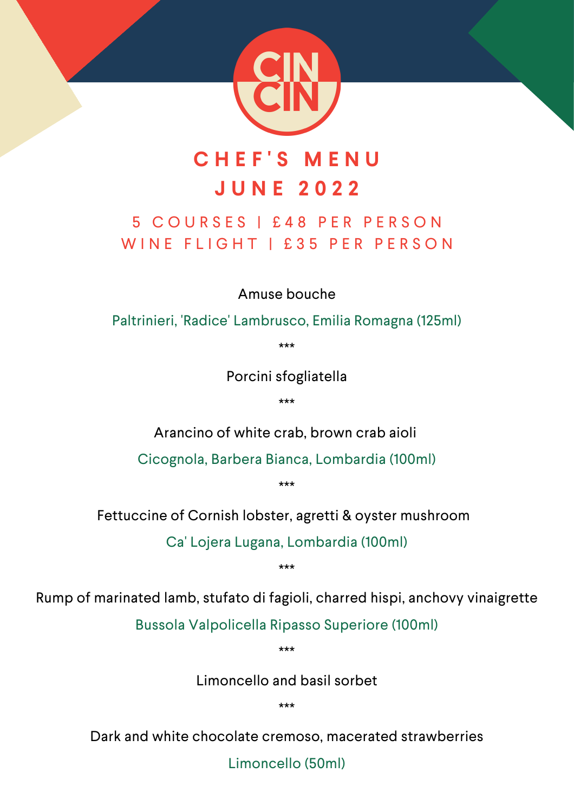

# **C H E F ' S M E N U J U N E 2 0 2 2**

### 5 C O U R S E S | £ 4 8 P E R P E R S O N WINE FLIGHT | £35 PER PERSON

Amuse bouche

Paltrinieri, 'Radice' Lambrusco, Emilia Romagna (125ml)

\*\*\*

Porcini sfogliatella

\*\*\*

Arancino of white crab, brown crab aioli

Cicognola, Barbera Bianca, Lombardia (100ml)

\*\*\*

Fettuccine of Cornish lobster, agretti & oyster mushroom

Ca' Lojera Lugana, Lombardia (100ml)

\*\*\*

Rump of marinated lamb, stufato di fagioli, charred hispi, anchovy vinaigrette

Bussola Valpolicella Ripasso Superiore (100ml)

\*\*\*

Limoncello and basil sorbet

\*\*\*

Dark and white chocolate cremoso, macerated strawberries

Limoncello (50ml)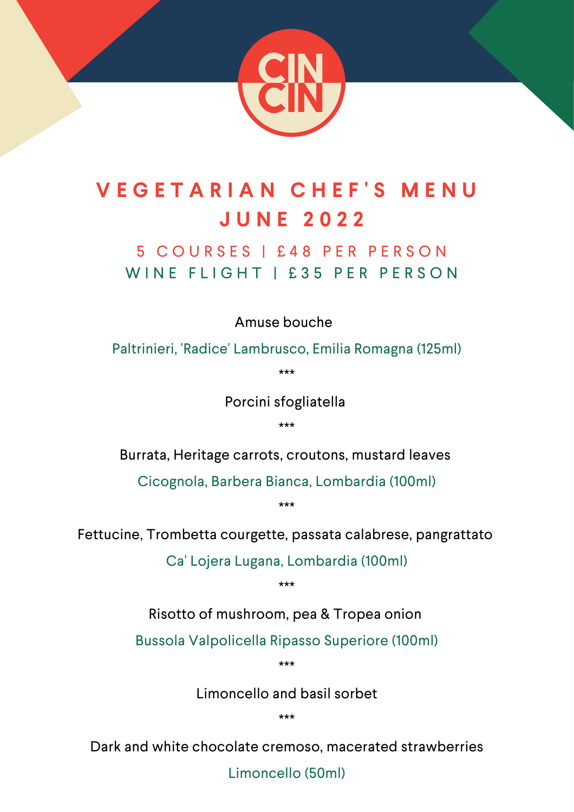

# **V E G E T A R I A N C H E F ' S M E N U J U N E 2 0 2 2**

### 5 C O U R S E S | £ 4 8 P E R P E R S O N WINE FLIGHT I £35 PER PERSON

Amuse bouche

Paltrinieri, 'Radice' Lambrusco, Emilia Romagna (125ml)

\*\*\*

Porcini sfogliatella

\*\*\*

Burrata, Heritage carrots, croutons, mustard leaves

Cicognola, Barbera Bianca, Lombardia (100ml)

\*\*\*

Fettucine, Trombetta courgette, passata calabrese, pangrattato

Ca' Lojera Lugana, Lombardia (100ml)

\*\*\*

Risotto of mushroom, pea & Tropea onion

Bussola Valpolicella Ripasso Superiore (100ml)

\*\*\*

Limoncello and basil sorbet

\*\*\*

Dark and white chocolate cremoso, macerated strawberries

Limoncello (50ml)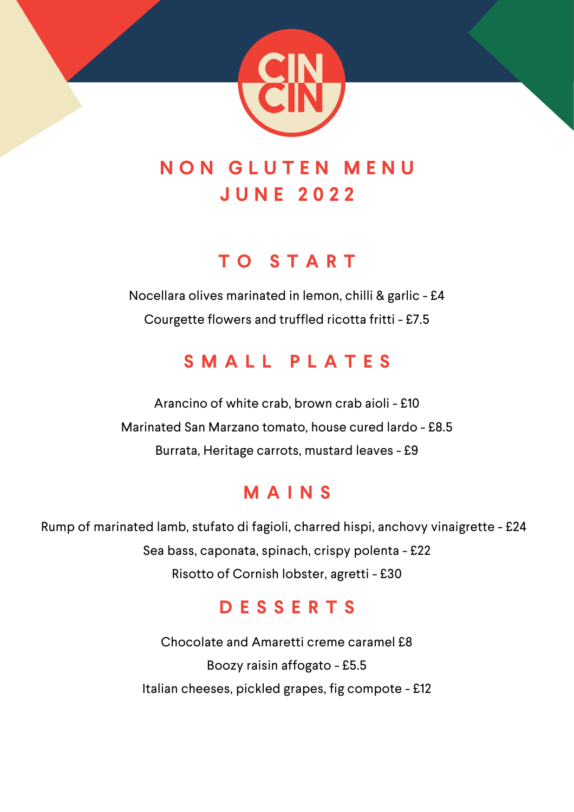

# **N O N G L U T E N M E N U J U N E 2 0 2 2**

### **T O S T A R T**

Nocellara olives marinated in lemon, chilli & garlic - £4 Courgette flowers and truffled ricotta fritti - £7.5

# **S M A L L P L A T E S**

Arancino of white crab, brown crab aioli - £10 Marinated San Marzano tomato, house cured lardo - £8.5 Burrata, Heritage carrots, mustard leaves - £9

# **M A I N S**

Rump of marinated lamb, stufato di fagioli, charred hispi, anchovy vinaigrette - £24 Sea bass, caponata, spinach, crispy polenta - £22 Risotto of Cornish lobster, agretti - £30

# **D E S S E R T S**

Chocolate and Amaretti creme caramel £8 Boozy raisin affogato - £5.5 Italian cheeses, pickled grapes, fig compote - £12